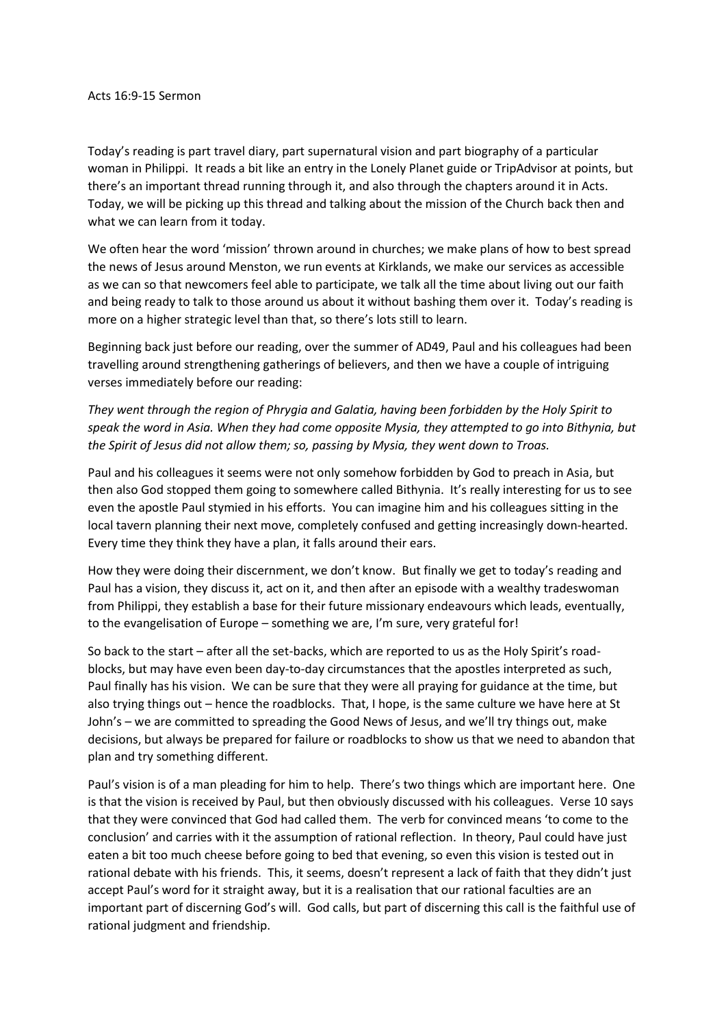Today's reading is part travel diary, part supernatural vision and part biography of a particular woman in Philippi. It reads a bit like an entry in the Lonely Planet guide or TripAdvisor at points, but there's an important thread running through it, and also through the chapters around it in Acts. Today, we will be picking up this thread and talking about the mission of the Church back then and what we can learn from it today.

We often hear the word 'mission' thrown around in churches; we make plans of how to best spread the news of Jesus around Menston, we run events at Kirklands, we make our services as accessible as we can so that newcomers feel able to participate, we talk all the time about living out our faith and being ready to talk to those around us about it without bashing them over it. Today's reading is more on a higher strategic level than that, so there's lots still to learn.

Beginning back just before our reading, over the summer of AD49, Paul and his colleagues had been travelling around strengthening gatherings of believers, and then we have a couple of intriguing verses immediately before our reading:

*They went through the region of Phrygia and Galatia, having been forbidden by the Holy Spirit to speak the word in Asia. When they had come opposite Mysia, they attempted to go into Bithynia, but the Spirit of Jesus did not allow them; so, passing by Mysia, they went down to Troas.*

Paul and his colleagues it seems were not only somehow forbidden by God to preach in Asia, but then also God stopped them going to somewhere called Bithynia. It's really interesting for us to see even the apostle Paul stymied in his efforts. You can imagine him and his colleagues sitting in the local tavern planning their next move, completely confused and getting increasingly down-hearted. Every time they think they have a plan, it falls around their ears.

How they were doing their discernment, we don't know. But finally we get to today's reading and Paul has a vision, they discuss it, act on it, and then after an episode with a wealthy tradeswoman from Philippi, they establish a base for their future missionary endeavours which leads, eventually, to the evangelisation of Europe – something we are, I'm sure, very grateful for!

So back to the start – after all the set-backs, which are reported to us as the Holy Spirit's roadblocks, but may have even been day-to-day circumstances that the apostles interpreted as such, Paul finally has his vision. We can be sure that they were all praying for guidance at the time, but also trying things out – hence the roadblocks. That, I hope, is the same culture we have here at St John's – we are committed to spreading the Good News of Jesus, and we'll try things out, make decisions, but always be prepared for failure or roadblocks to show us that we need to abandon that plan and try something different.

Paul's vision is of a man pleading for him to help. There's two things which are important here. One is that the vision is received by Paul, but then obviously discussed with his colleagues. Verse 10 says that they were convinced that God had called them. The verb for convinced means 'to come to the conclusion' and carries with it the assumption of rational reflection. In theory, Paul could have just eaten a bit too much cheese before going to bed that evening, so even this vision is tested out in rational debate with his friends. This, it seems, doesn't represent a lack of faith that they didn't just accept Paul's word for it straight away, but it is a realisation that our rational faculties are an important part of discerning God's will. God calls, but part of discerning this call is the faithful use of rational judgment and friendship.